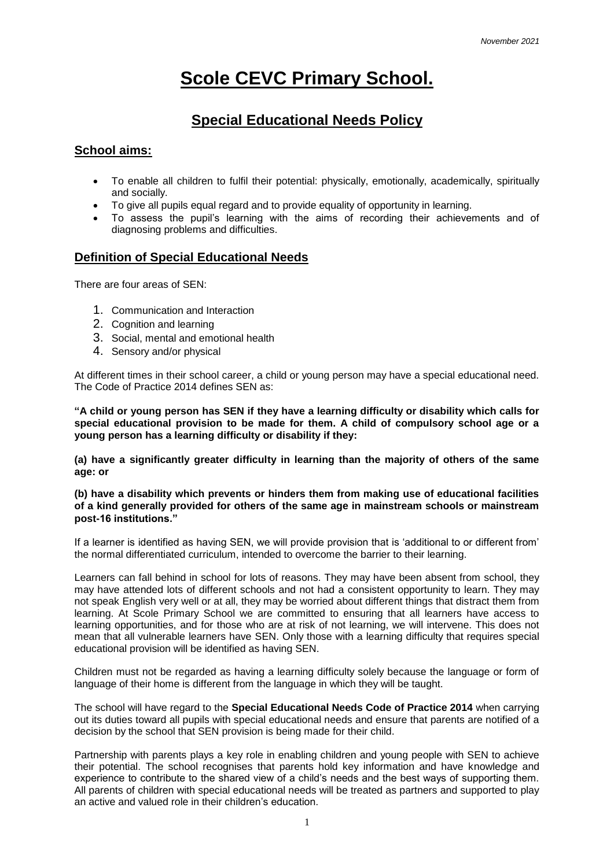# **Scole CEVC Primary School.**

# **Special Educational Needs Policy**

#### **School aims:**

- To enable all children to fulfil their potential: physically, emotionally, academically, spiritually and socially.
- To give all pupils equal regard and to provide equality of opportunity in learning.
- To assess the pupil's learning with the aims of recording their achievements and of diagnosing problems and difficulties.

# **Definition of Special Educational Needs**

There are four areas of SEN:

- 1. Communication and Interaction
- 2. Cognition and learning
- 3. Social, mental and emotional health
- 4. Sensory and/or physical

At different times in their school career, a child or young person may have a special educational need. The Code of Practice 2014 defines SEN as:

**"A child or young person has SEN if they have a learning difficulty or disability which calls for special educational provision to be made for them. A child of compulsory school age or a young person has a learning difficulty or disability if they:** 

**(a) have a significantly greater difficulty in learning than the majority of others of the same age: or** 

**(b) have a disability which prevents or hinders them from making use of educational facilities of a kind generally provided for others of the same age in mainstream schools or mainstream post-16 institutions."** 

If a learner is identified as having SEN, we will provide provision that is 'additional to or different from' the normal differentiated curriculum, intended to overcome the barrier to their learning.

Learners can fall behind in school for lots of reasons. They may have been absent from school, they may have attended lots of different schools and not had a consistent opportunity to learn. They may not speak English very well or at all, they may be worried about different things that distract them from learning. At Scole Primary School we are committed to ensuring that all learners have access to learning opportunities, and for those who are at risk of not learning, we will intervene. This does not mean that all vulnerable learners have SEN. Only those with a learning difficulty that requires special educational provision will be identified as having SEN.

Children must not be regarded as having a learning difficulty solely because the language or form of language of their home is different from the language in which they will be taught.

The school will have regard to the **Special Educational Needs Code of Practice 2014** when carrying out its duties toward all pupils with special educational needs and ensure that parents are notified of a decision by the school that SEN provision is being made for their child.

Partnership with parents plays a key role in enabling children and young people with SEN to achieve their potential. The school recognises that parents hold key information and have knowledge and experience to contribute to the shared view of a child's needs and the best ways of supporting them. All parents of children with special educational needs will be treated as partners and supported to play an active and valued role in their children's education.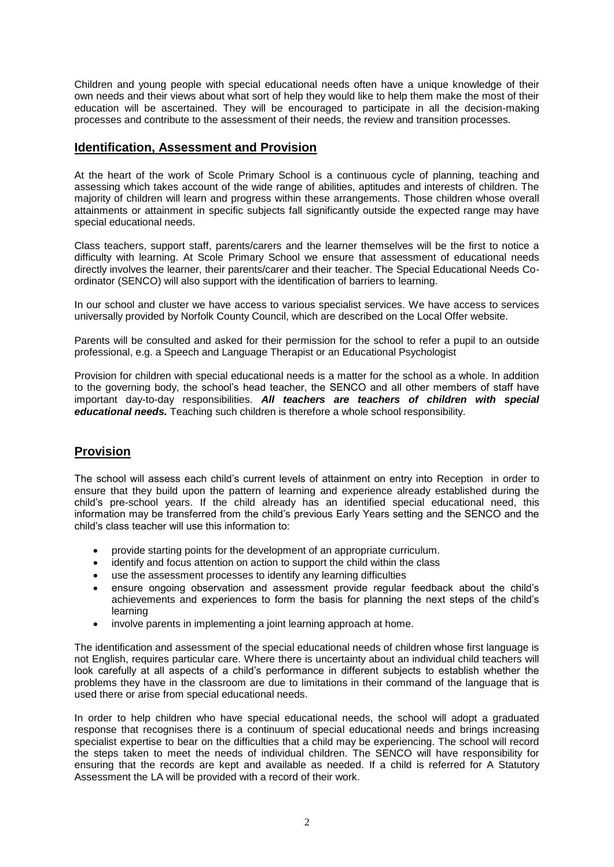Children and young people with special educational needs often have a unique knowledge of their own needs and their views about what sort of help they would like to help them make the most of their education will be ascertained. They will be encouraged to participate in all the decision-making processes and contribute to the assessment of their needs, the review and transition processes.

# **Identification, Assessment and Provision**

At the heart of the work of Scole Primary School is a continuous cycle of planning, teaching and assessing which takes account of the wide range of abilities, aptitudes and interests of children. The majority of children will learn and progress within these arrangements. Those children whose overall attainments or attainment in specific subjects fall significantly outside the expected range may have special educational needs.

Class teachers, support staff, parents/carers and the learner themselves will be the first to notice a difficulty with learning. At Scole Primary School we ensure that assessment of educational needs directly involves the learner, their parents/carer and their teacher. The Special Educational Needs Coordinator (SENCO) will also support with the identification of barriers to learning.

In our school and cluster we have access to various specialist services. We have access to services universally provided by Norfolk County Council, which are described on the Local Offer website.

Parents will be consulted and asked for their permission for the school to refer a pupil to an outside professional, e.g. a Speech and Language Therapist or an Educational Psychologist

Provision for children with special educational needs is a matter for the school as a whole. In addition to the governing body, the school's head teacher, the SENCO and all other members of staff have important day-to-day responsibilities. *All teachers are teachers of children with special educational needs.* Teaching such children is therefore a whole school responsibility.

# **Provision**

The school will assess each child's current levels of attainment on entry into Reception in order to ensure that they build upon the pattern of learning and experience already established during the child's pre-school years. If the child already has an identified special educational need, this information may be transferred from the child's previous Early Years setting and the SENCO and the child's class teacher will use this information to:

- provide starting points for the development of an appropriate curriculum.
- identify and focus attention on action to support the child within the class
- use the assessment processes to identify any learning difficulties
- ensure ongoing observation and assessment provide regular feedback about the child's achievements and experiences to form the basis for planning the next steps of the child's learning
- involve parents in implementing a joint learning approach at home.

The identification and assessment of the special educational needs of children whose first language is not English, requires particular care. Where there is uncertainty about an individual child teachers will look carefully at all aspects of a child's performance in different subjects to establish whether the problems they have in the classroom are due to limitations in their command of the language that is used there or arise from special educational needs.

In order to help children who have special educational needs, the school will adopt a graduated response that recognises there is a continuum of special educational needs and brings increasing specialist expertise to bear on the difficulties that a child may be experiencing. The school will record the steps taken to meet the needs of individual children. The SENCO will have responsibility for ensuring that the records are kept and available as needed. If a child is referred for A Statutory Assessment the LA will be provided with a record of their work.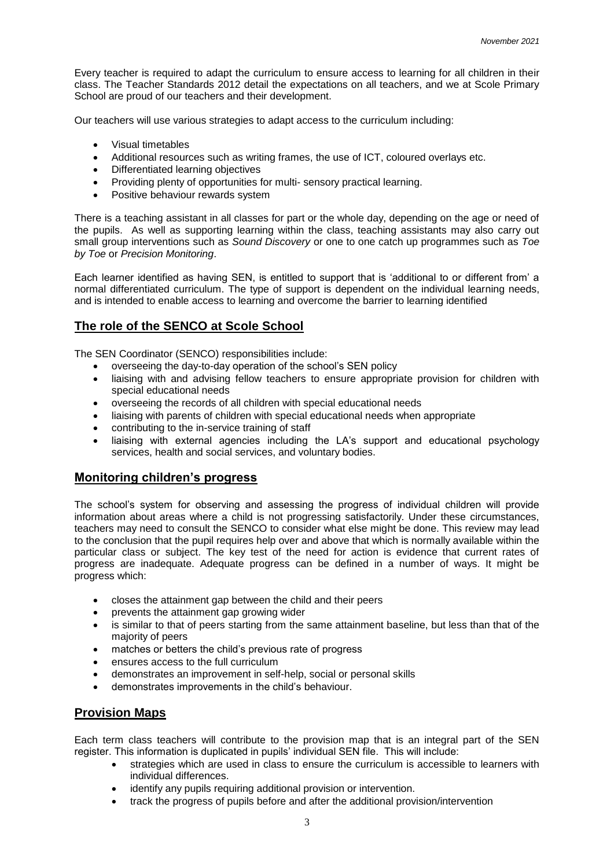Every teacher is required to adapt the curriculum to ensure access to learning for all children in their class. The Teacher Standards 2012 detail the expectations on all teachers, and we at Scole Primary School are proud of our teachers and their development.

Our teachers will use various strategies to adapt access to the curriculum including:

- Visual timetables
- Additional resources such as writing frames, the use of ICT, coloured overlays etc.
- Differentiated learning objectives
- Providing plenty of opportunities for multi- sensory practical learning.
- Positive behaviour rewards system

There is a teaching assistant in all classes for part or the whole day, depending on the age or need of the pupils. As well as supporting learning within the class, teaching assistants may also carry out small group interventions such as *Sound Discovery* or one to one catch up programmes such as *Toe by Toe* or *Precision Monitoring*.

Each learner identified as having SEN, is entitled to support that is 'additional to or different from' a normal differentiated curriculum. The type of support is dependent on the individual learning needs, and is intended to enable access to learning and overcome the barrier to learning identified

#### **The role of the SENCO at Scole School**

The SEN Coordinator (SENCO) responsibilities include:

- overseeing the day-to-day operation of the school's SEN policy
- liaising with and advising fellow teachers to ensure appropriate provision for children with special educational needs
- overseeing the records of all children with special educational needs
- liaising with parents of children with special educational needs when appropriate
- contributing to the in-service training of staff
- liaising with external agencies including the LA's support and educational psychology services, health and social services, and voluntary bodies.

#### **Monitoring children's progress**

The school's system for observing and assessing the progress of individual children will provide information about areas where a child is not progressing satisfactorily. Under these circumstances, teachers may need to consult the SENCO to consider what else might be done. This review may lead to the conclusion that the pupil requires help over and above that which is normally available within the particular class or subject. The key test of the need for action is evidence that current rates of progress are inadequate. Adequate progress can be defined in a number of ways. It might be progress which:

- closes the attainment gap between the child and their peers
- prevents the attainment gap growing wider
- is similar to that of peers starting from the same attainment baseline, but less than that of the majority of peers
- matches or betters the child's previous rate of progress
- ensures access to the full curriculum
- demonstrates an improvement in self-help, social or personal skills
- demonstrates improvements in the child's behaviour.

#### **Provision Maps**

Each term class teachers will contribute to the provision map that is an integral part of the SEN register. This information is duplicated in pupils' individual SEN file. This will include:

- strategies which are used in class to ensure the curriculum is accessible to learners with individual differences.
- identify any pupils requiring additional provision or intervention.
- track the progress of pupils before and after the additional provision/intervention